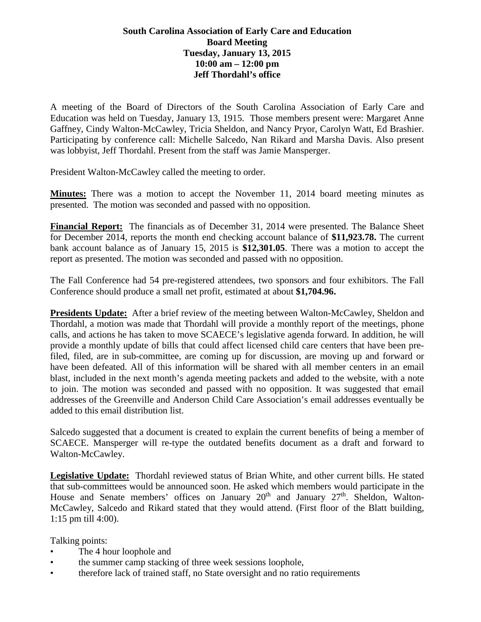## **South Carolina Association of Early Care and Education Board Meeting Tuesday, January 13, 2015 10:00 am – 12:00 pm Jeff Thordahl's office**

A meeting of the Board of Directors of the South Carolina Association of Early Care and Education was held on Tuesday, January 13, 1915. Those members present were: Margaret Anne Gaffney, Cindy Walton-McCawley, Tricia Sheldon, and Nancy Pryor, Carolyn Watt, Ed Brashier. Participating by conference call: Michelle Salcedo, Nan Rikard and Marsha Davis. Also present was lobbyist, Jeff Thordahl. Present from the staff was Jamie Mansperger.

President Walton-McCawley called the meeting to order.

**Minutes:** There was a motion to accept the November 11, 2014 board meeting minutes as presented. The motion was seconded and passed with no opposition.

**Financial Report:** The financials as of December 31, 2014 were presented. The Balance Sheet for December 2014, reports the month end checking account balance of **\$11,923.78.** The current bank account balance as of January 15, 2015 is **\$12,301.05**. There was a motion to accept the report as presented. The motion was seconded and passed with no opposition.

The Fall Conference had 54 pre-registered attendees, two sponsors and four exhibitors. The Fall Conference should produce a small net profit, estimated at about **\$1,704.96.**

**Presidents Update:** After a brief review of the meeting between Walton-McCawley, Sheldon and Thordahl, a motion was made that Thordahl will provide a monthly report of the meetings, phone calls, and actions he has taken to move SCAECE's legislative agenda forward. In addition, he will provide a monthly update of bills that could affect licensed child care centers that have been prefiled, filed, are in sub-committee, are coming up for discussion, are moving up and forward or have been defeated. All of this information will be shared with all member centers in an email blast, included in the next month's agenda meeting packets and added to the website, with a note to join. The motion was seconded and passed with no opposition. It was suggested that email addresses of the Greenville and Anderson Child Care Association's email addresses eventually be added to this email distribution list.

Salcedo suggested that a document is created to explain the current benefits of being a member of SCAECE. Mansperger will re-type the outdated benefits document as a draft and forward to Walton-McCawley.

**Legislative Update:** Thordahl reviewed status of Brian White, and other current bills. He stated that sub-committees would be announced soon. He asked which members would participate in the House and Senate members' offices on January  $20<sup>th</sup>$  and January  $27<sup>th</sup>$ . Sheldon, Walton-McCawley, Salcedo and Rikard stated that they would attend. (First floor of the Blatt building, 1:15 pm till 4:00).

Talking points:

- The 4 hour loophole and
- the summer camp stacking of three week sessions loophole.
- therefore lack of trained staff, no State oversight and no ratio requirements